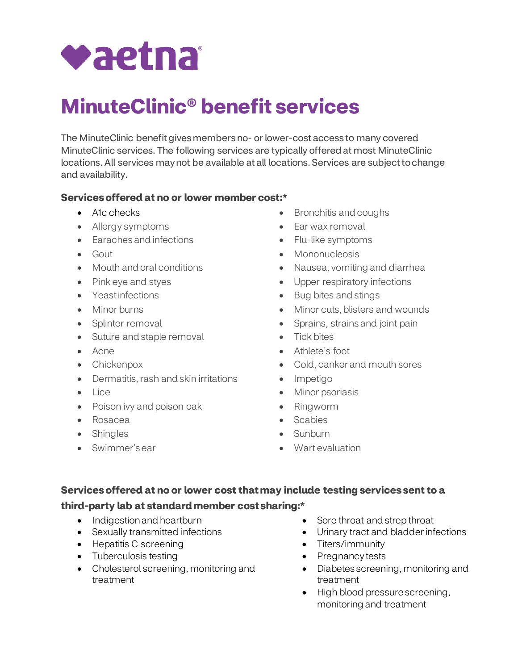

# **MinuteClinic® benefit services**

 The MinuteClinic benefit gives members no- or lower-cost access to many covered MinuteClinic services. The following services are typically offered at most MinuteClinic locations. All services may not be available at all locations. Services are subject to change and availability.

#### **Services offered at no or lower member cost:\***

- A1c checks
- Allergy symptoms
- Earaches and infections
- Gout
- Mouth and oral conditions
- Pink eye and styes
- Yeastinfections
- Minor burns
- Splinter removal
- Suture and staple removal
- Acne
- Chickenpox
- Dermatitis, rash and skin irritations
- Lice
- Poison ivy and poison oak
- Rosacea
- Shingles
- Swimmer's ear
- Bronchitis and coughs
- Ear wax removal
- Flu-like symptoms
- Mononucleosis
- Nausea, vomiting and diarrhea
- Upper respiratory infections
- Bug bites and stings
- Minor cuts, blisters and wounds
- Sprains, strains and joint pain
- Tick bites
- Athlete's foot
- Cold, canker and mouth sores
- Impetigo
- Minor psoriasis
- Ringworm
- Scabies
- Sunburn
- Wart evaluation

# **Services offered at no or lower cost that may include testing services sent to a**

# **third-party lab at standard member cost sharing:\***

- Indigestion and heartburn
- Sexually transmitted infections
- Hepatitis C screening
- Tuberculosis testing
- • Cholesterol screening, monitoring and treatment
- Sore throat and strep throat
- Urinary tract and bladder infections
- Titers/immunity
- Pregnancy tests
- Diabetes screening, monitoring and treatment
- • High blood pressure screening, monitoring and treatment